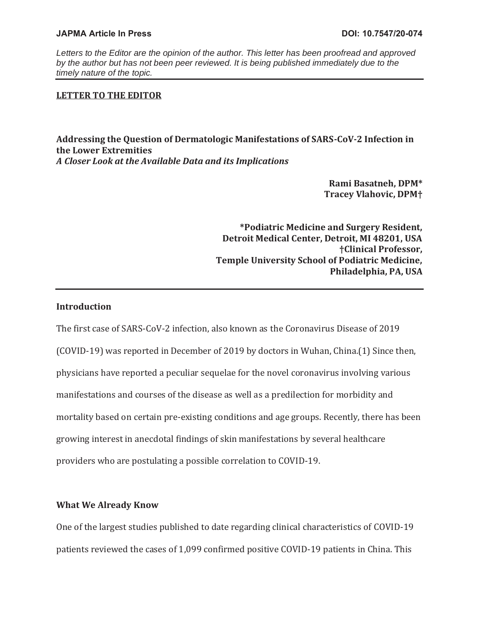## **JAPMA Article In Press DOI: 10.7547/20-074**

*Letters to the Editor are the opinion of the author. This letter has been proofread and approved by the author but has not been peer reviewed. It is being published immediately due to the timely nature of the topic.* 

# **LETTER TO THE EDITOR**

**Addressing the Question of Dermatologic Manifestations of SARS-CoV-2 Infection in the Lower Extremities**  *A Closer Look at the Available Data and its Implications* 

> **Rami Basatneh, DPM\* Tracey Vlahovic, DPM†**

**\*Podiatric Medicine and Surgery Resident, Detroit Medical Center, Detroit, MI 48201, USA †Clinical Professor, Temple University School of Podiatric Medicine, Philadelphia, PA, USA** 

## **Introduction**

The first case of SARS-CoV-2 infection, also known as the Coronavirus Disease of 2019 (COVID-19) was reported in December of 2019 by doctors in Wuhan, China.(1) Since then, physicians have reported a peculiar sequelae for the novel coronavirus involving various manifestations and courses of the disease as well as a predilection for morbidity and mortality based on certain pre-existing conditions and age groups. Recently, there has been growing interest in anecdotal findings of skin manifestations by several healthcare providers who are postulating a possible correlation to COVID-19.

## **What We Already Know**

One of the largest studies published to date regarding clinical characteristics of COVID-19 patients reviewed the cases of 1,099 confirmed positive COVID-19 patients in China. This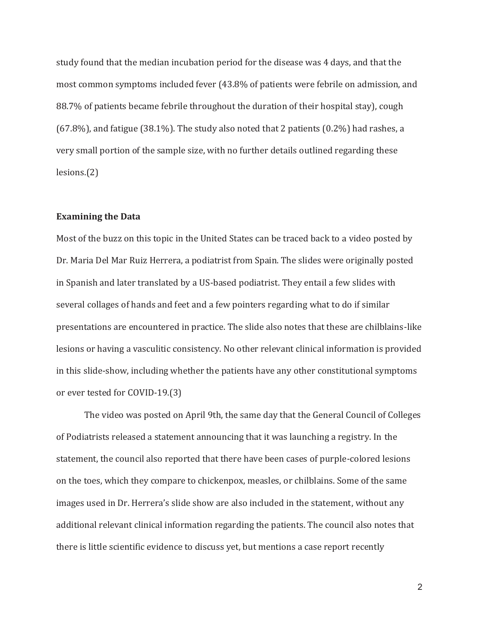study found that the median incubation period for the disease was 4 days, and that the most common symptoms included fever (43.8% of patients were febrile on admission, and 88.7% of patients became febrile throughout the duration of their hospital stay), cough (67.8%), and fatigue (38.1%). The study also noted that 2 patients (0.2%) had rashes, a very small portion of the sample size, with no further details outlined regarding these lesions.(2)

## **Examining the Data**

Most of the buzz on this topic in the United States can be traced back to a video posted by Dr. Maria Del Mar Ruiz Herrera, a podiatrist from Spain. The slides were originally posted in Spanish and later translated by a US-based podiatrist. They entail a few slides with several collages of hands and feet and a few pointers regarding what to do if similar presentations are encountered in practice. The slide also notes that these are chilblains-like lesions or having a vasculitic consistency. No other relevant clinical information is provided in this slide-show, including whether the patients have any other constitutional symptoms or ever tested for COVID-19.(3)

The video was posted on April 9th, the same day that the General Council of Colleges of Podiatrists released a statement announcing that it was launching a registry. In the statement, the council also reported that there have been cases of purple-colored lesions on the toes, which they compare to chickenpox, measles, or chilblains. Some of the same images used in Dr. Herrera's slide show are also included in the statement, without any additional relevant clinical information regarding the patients. The council also notes that there is little scientific evidence to discuss yet, but mentions a case report recently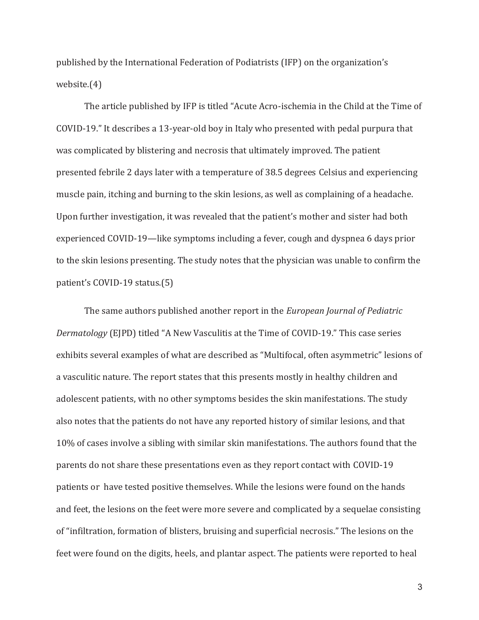published by the International Federation of Podiatrists (IFP) on the organization's website.(4)

The article published by IFP is titled "Acute Acro-ischemia in the Child at the Time of COVID-19." It describes a 13-year-old boy in Italy who presented with pedal purpura that was complicated by blistering and necrosis that ultimately improved. The patient presented febrile 2 days later with a temperature of 38.5 degrees Celsius and experiencing muscle pain, itching and burning to the skin lesions, as well as complaining of a headache. Upon further investigation, it was revealed that the patient's mother and sister had both experienced COVID-19—like symptoms including a fever, cough and dyspnea 6 days prior to the skin lesions presenting. The study notes that the physician was unable to confirm the patient's COVID-19 status.(5)

The same authors published another report in the *European Journal of Pediatric Dermatology* (EJPD) titled "A New Vasculitis at the Time of COVID-19." This case series exhibits several examples of what are described as "Multifocal, often asymmetric" lesions of a vasculitic nature. The report states that this presents mostly in healthy children and adolescent patients, with no other symptoms besides the skin manifestations. The study also notes that the patients do not have any reported history of similar lesions, and that 10% of cases involve a sibling with similar skin manifestations. The authors found that the parents do not share these presentations even as they report contact with COVID-19 patients or have tested positive themselves. While the lesions were found on the hands and feet, the lesions on the feet were more severe and complicated by a sequelae consisting of "infiltration, formation of blisters, bruising and superficial necrosis." The lesions on the feet were found on the digits, heels, and plantar aspect. The patients were reported to heal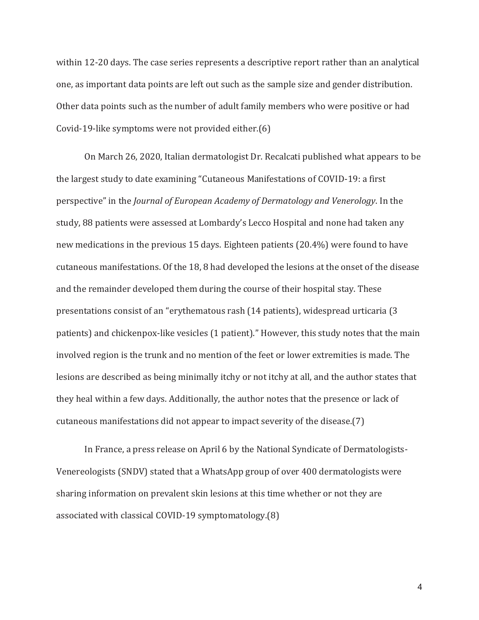within 12-20 days. The case series represents a descriptive report rather than an analytical one, as important data points are left out such as the sample size and gender distribution. Other data points such as the number of adult family members who were positive or had Covid-19-like symptoms were not provided either.(6)

On March 26, 2020, Italian dermatologist Dr. Recalcati published what appears to be the largest study to date examining "Cutaneous Manifestations of COVID-19: a first perspective" in the *Journal of European Academy of Dermatology and Venerology*. In the study, 88 patients were assessed at Lombardy's Lecco Hospital and none had taken any new medications in the previous 15 days. Eighteen patients (20.4%) were found to have cutaneous manifestations. Of the 18, 8 had developed the lesions at the onset of the disease and the remainder developed them during the course of their hospital stay. These presentations consist of an "erythematous rash (14 patients), widespread urticaria (3 patients) and chickenpox-like vesicles (1 patient)." However, this study notes that the main involved region is the trunk and no mention of the feet or lower extremities is made. The lesions are described as being minimally itchy or not itchy at all, and the author states that they heal within a few days. Additionally, the author notes that the presence or lack of cutaneous manifestations did not appear to impact severity of the disease.(7)

In France, a press release on April 6 by the National Syndicate of Dermatologists-Venereologists (SNDV) stated that a WhatsApp group of over 400 dermatologists were sharing information on prevalent skin lesions at this time whether or not they are associated with classical COVID-19 symptomatology.(8)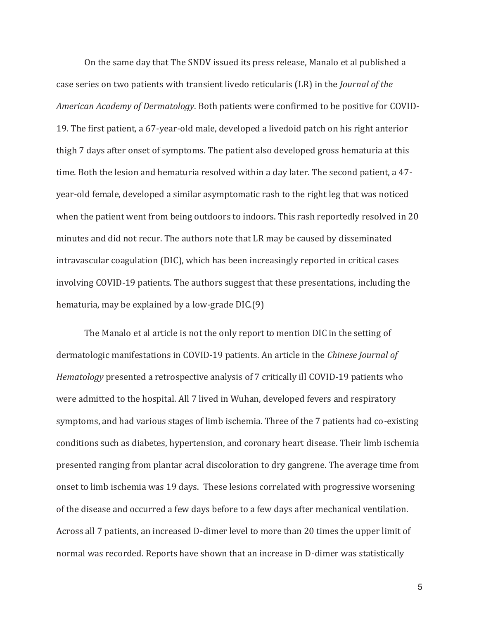On the same day that The SNDV issued its press release, Manalo et al published a case series on two patients with transient livedo reticularis (LR) in the *Journal of the American Academy of Dermatology*. Both patients were confirmed to be positive for COVID-19. The first patient, a 67-year-old male, developed a livedoid patch on his right anterior thigh 7 days after onset of symptoms. The patient also developed gross hematuria at this time. Both the lesion and hematuria resolved within a day later. The second patient, a 47 year-old female, developed a similar asymptomatic rash to the right leg that was noticed when the patient went from being outdoors to indoors. This rash reportedly resolved in 20 minutes and did not recur. The authors note that LR may be caused by disseminated intravascular coagulation (DIC), which has been increasingly reported in critical cases involving COVID-19 patients. The authors suggest that these presentations, including the hematuria, may be explained by a low-grade DIC.(9)

The Manalo et al article is not the only report to mention DIC in the setting of dermatologic manifestations in COVID-19 patients. An article in the *Chinese Journal of Hematology* presented a retrospective analysis of 7 critically ill COVID-19 patients who were admitted to the hospital. All 7 lived in Wuhan, developed fevers and respiratory symptoms, and had various stages of limb ischemia. Three of the 7 patients had co-existing conditions such as diabetes, hypertension, and coronary heart disease. Their limb ischemia presented ranging from plantar acral discoloration to dry gangrene. The average time from onset to limb ischemia was 19 days. These lesions correlated with progressive worsening of the disease and occurred a few days before to a few days after mechanical ventilation. Across all 7 patients, an increased D-dimer level to more than 20 times the upper limit of normal was recorded. Reports have shown that an increase in D-dimer was statistically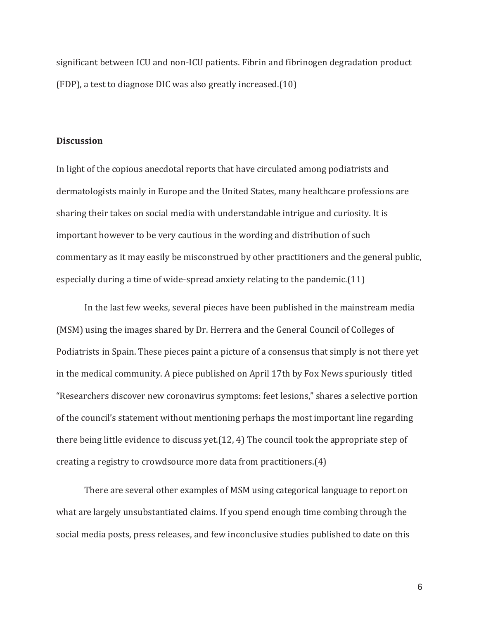significant between ICU and non-ICU patients. Fibrin and fibrinogen degradation product (FDP), a test to diagnose DIC was also greatly increased.(10)

## **Discussion**

In light of the copious anecdotal reports that have circulated among podiatrists and dermatologists mainly in Europe and the United States, many healthcare professions are sharing their takes on social media with understandable intrigue and curiosity. It is important however to be very cautious in the wording and distribution of such commentary as it may easily be misconstrued by other practitioners and the general public, especially during a time of wide-spread anxiety relating to the pandemic.(11)

In the last few weeks, several pieces have been published in the mainstream media (MSM) using the images shared by Dr. Herrera and the General Council of Colleges of Podiatrists in Spain. These pieces paint a picture of a consensus that simply is not there yet in the medical community. A piece published on April 17th by Fox News spuriously titled "Researchers discover new coronavirus symptoms: feet lesions," shares a selective portion of the council's statement without mentioning perhaps the most important line regarding there being little evidence to discuss yet.(12, 4) The council took the appropriate step of creating a registry to crowdsource more data from practitioners.(4)

There are several other examples of MSM using categorical language to report on what are largely unsubstantiated claims. If you spend enough time combing through the social media posts, press releases, and few inconclusive studies published to date on this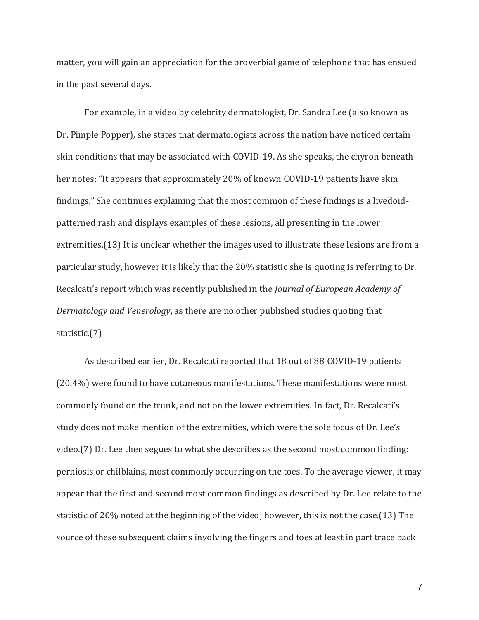matter, you will gain an appreciation for the proverbial game of telephone that has ensued in the past several days.

For example, in a video by celebrity dermatologist, Dr. Sandra Lee (also known as Dr. Pimple Popper), she states that dermatologists across the nation have noticed certain skin conditions that may be associated with COVID-19. As she speaks, the chyron beneath her notes: "It appears that approximately 20% of known COVID-19 patients have skin findings." She continues explaining that the most common of these findings is a livedoidpatterned rash and displays examples of these lesions, all presenting in the lower extremities.(13) It is unclear whether the images used to illustrate these lesions are from a particular study, however it is likely that the 20% statistic she is quoting is referring to Dr. Recalcati's report which was recently published in the *Journal of European Academy of Dermatology and Venerology*, as there are no other published studies quoting that statistic.(7)

As described earlier, Dr. Recalcati reported that 18 out of 88 COVID-19 patients (20.4%) were found to have cutaneous manifestations. These manifestations were most commonly found on the trunk, and not on the lower extremities. In fact, Dr. Recalcati's study does not make mention of the extremities, which were the sole focus of Dr. Lee's video.(7) Dr. Lee then segues to what she describes as the second most common finding: perniosis or chilblains, most commonly occurring on the toes. To the average viewer, it may appear that the first and second most common findings as described by Dr. Lee relate to the statistic of 20% noted at the beginning of the video; however, this is not the case.(13) The source of these subsequent claims involving the fingers and toes at least in part trace back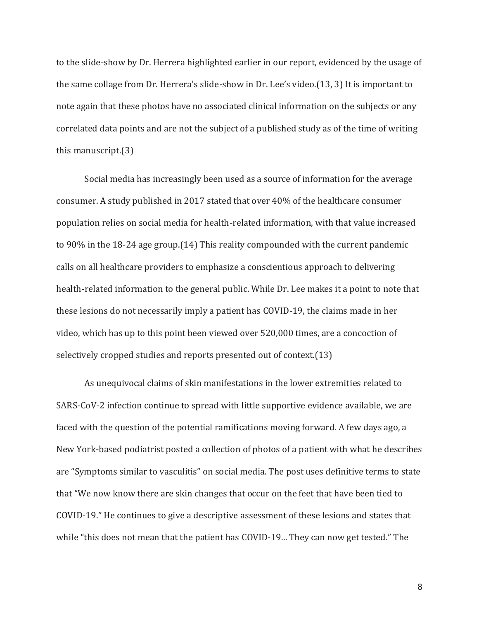to the slide-show by Dr. Herrera highlighted earlier in our report, evidenced by the usage of the same collage from Dr. Herrera's slide-show in Dr. Lee's video.(13, 3) It is important to note again that these photos have no associated clinical information on the subjects or any correlated data points and are not the subject of a published study as of the time of writing this manuscript.(3)

Social media has increasingly been used as a source of information for the average consumer. A study published in 2017 stated that over 40% of the healthcare consumer population relies on social media for health-related information, with that value increased to 90% in the 18-24 age group.(14) This reality compounded with the current pandemic calls on all healthcare providers to emphasize a conscientious approach to delivering health-related information to the general public. While Dr. Lee makes it a point to note that these lesions do not necessarily imply a patient has COVID-19, the claims made in her video, which has up to this point been viewed over 520,000 times, are a concoction of selectively cropped studies and reports presented out of context.(13)

As unequivocal claims of skin manifestations in the lower extremities related to SARS-CoV-2 infection continue to spread with little supportive evidence available, we are faced with the question of the potential ramifications moving forward. A few days ago, a New York-based podiatrist posted a collection of photos of a patient with what he describes are "Symptoms similar to vasculitis" on social media. The post uses definitive terms to state that "We now know there are skin changes that occur on the feet that have been tied to COVID-19." He continues to give a descriptive assessment of these lesions and states that while "this does not mean that the patient has COVID-19... They can now get tested." The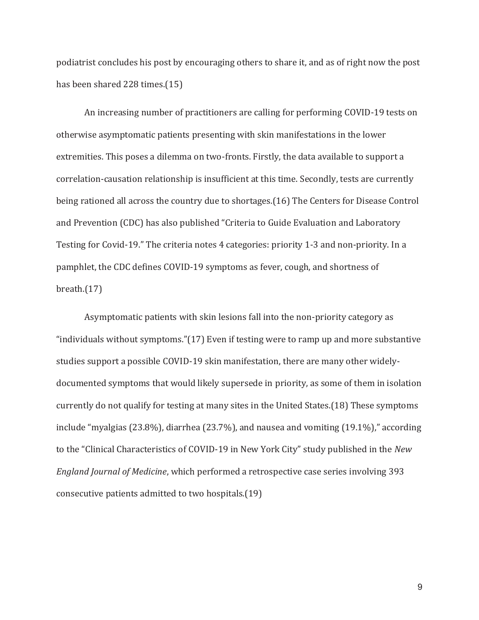podiatrist concludes his post by encouraging others to share it, and as of right now the post has been shared 228 times.(15)

An increasing number of practitioners are calling for performing COVID-19 tests on otherwise asymptomatic patients presenting with skin manifestations in the lower extremities. This poses a dilemma on two-fronts. Firstly, the data available to support a correlation-causation relationship is insufficient at this time. Secondly, tests are currently being rationed all across the country due to shortages.(16) The Centers for Disease Control and Prevention (CDC) has also published "Criteria to Guide Evaluation and Laboratory Testing for Covid-19." The criteria notes 4 categories: priority 1-3 and non-priority. In a pamphlet, the CDC defines COVID-19 symptoms as fever, cough, and shortness of breath.(17)

Asymptomatic patients with skin lesions fall into the non-priority category as "individuals without symptoms."(17) Even if testing were to ramp up and more substantive studies support a possible COVID-19 skin manifestation, there are many other widelydocumented symptoms that would likely supersede in priority, as some of them in isolation currently do not qualify for testing at many sites in the United States.(18) These symptoms include "myalgias (23.8%), diarrhea (23.7%), and nausea and vomiting (19.1%)," according to the "Clinical Characteristics of COVID-19 in New York City" study published in the *New England Journal of Medicine*, which performed a retrospective case series involving 393 consecutive patients admitted to two hospitals.(19)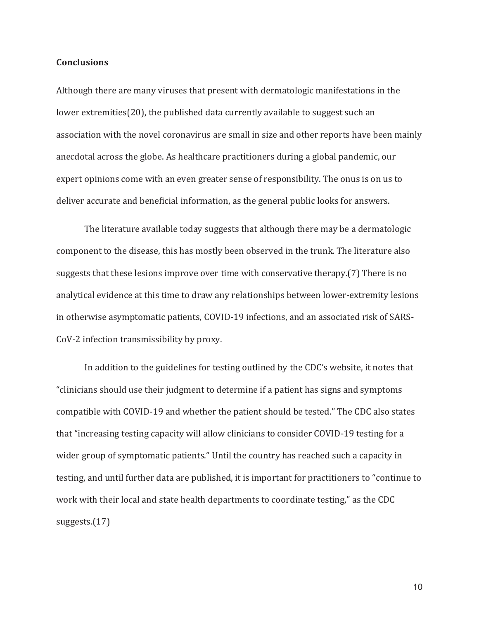## **Conclusions**

Although there are many viruses that present with dermatologic manifestations in the lower extremities(20), the published data currently available to suggest such an association with the novel coronavirus are small in size and other reports have been mainly anecdotal across the globe. As healthcare practitioners during a global pandemic, our expert opinions come with an even greater sense of responsibility. The onus is on us to deliver accurate and beneficial information, as the general public looks for answers.

The literature available today suggests that although there may be a dermatologic component to the disease, this has mostly been observed in the trunk. The literature also suggests that these lesions improve over time with conservative therapy.(7) There is no analytical evidence at this time to draw any relationships between lower-extremity lesions in otherwise asymptomatic patients, COVID-19 infections, and an associated risk of SARS-CoV-2 infection transmissibility by proxy.

In addition to the guidelines for testing outlined by the CDC's website, it notes that "clinicians should use their judgment to determine if a patient has signs and symptoms compatible with COVID-19 and whether the patient should be tested." The CDC also states that "increasing testing capacity will allow clinicians to consider COVID-19 testing for a wider group of symptomatic patients." Until the country has reached such a capacity in testing, and until further data are published, it is important for practitioners to "continue to work with their local and state health departments to coordinate testing," as the CDC suggests.(17)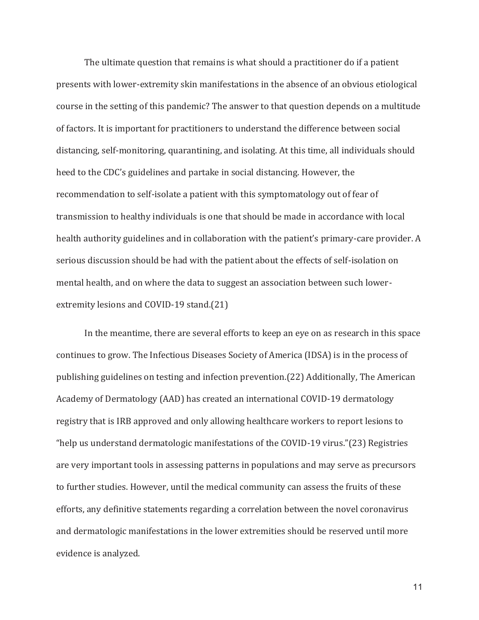The ultimate question that remains is what should a practitioner do if a patient presents with lower-extremity skin manifestations in the absence of an obvious etiological course in the setting of this pandemic? The answer to that question depends on a multitude of factors. It is important for practitioners to understand the difference between social distancing, self-monitoring, quarantining, and isolating. At this time, all individuals should heed to the CDC's guidelines and partake in social distancing. However, the recommendation to self-isolate a patient with this symptomatology out of fear of transmission to healthy individuals is one that should be made in accordance with local health authority guidelines and in collaboration with the patient's primary-care provider. A serious discussion should be had with the patient about the effects of self-isolation on mental health, and on where the data to suggest an association between such lowerextremity lesions and COVID-19 stand.(21)

In the meantime, there are several efforts to keep an eye on as research in this space continues to grow. The Infectious Diseases Society of America (IDSA) is in the process of publishing guidelines on testing and infection prevention.(22) Additionally, The American Academy of Dermatology (AAD) has created an international COVID-19 dermatology registry that is IRB approved and only allowing healthcare workers to report lesions to "help us understand dermatologic manifestations of the COVID-19 virus."(23) Registries are very important tools in assessing patterns in populations and may serve as precursors to further studies. However, until the medical community can assess the fruits of these efforts, any definitive statements regarding a correlation between the novel coronavirus and dermatologic manifestations in the lower extremities should be reserved until more evidence is analyzed.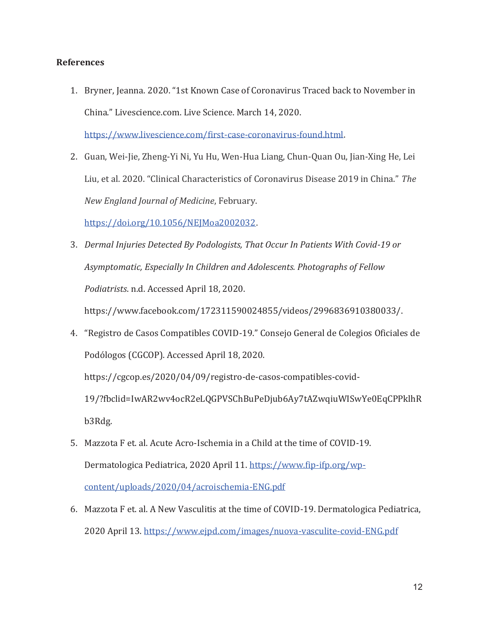# **References**

1. Bryner, Jeanna. 2020. "1st Known Case of Coronavirus Traced back to November in China." Livescience.com. Live Science. March 14, 2020.

https://www.livescience.com/first-case-coronavirus-found.html.

2. Guan, Wei-Jie, Zheng-Yi Ni, Yu Hu, Wen-Hua Liang, Chun-Quan Ou, Jian-Xing He, Lei Liu, et al. 2020. "Clinical Characteristics of Coronavirus Disease 2019 in China." *The New England Journal of Medicine*, February.

https://doi.org/10.1056/NEJMoa2002032.

3. *Dermal Injuries Detected By Podologists, That Occur In Patients With Covid-19 or Asymptomatic, Especially In Children and Adolescents. Photographs of Fellow Podiatrists*. n.d. Accessed April 18, 2020.

https://www.facebook.com/172311590024855/videos/2996836910380033/.

4. "Registro de Casos Compatibles COVID-19." Consejo General de Colegios Oficiales de Podólogos (CGCOP). Accessed April 18, 2020.

https://cgcop.es/2020/04/09/registro-de-casos-compatibles-covid-

19/?fbclid=IwAR2wv4ocR2eLQGPVSChBuPeDjub6Ay7tAZwqiuWISwYe0EqCPPklhR b3Rdg.

- 5. Mazzota F et. al. Acute Acro-Ischemia in a Child at the time of COVID-19. Dermatologica Pediatrica, 2020 April 11. https://www.fip-ifp.org/wpcontent/uploads/2020/04/acroischemia-ENG.pdf
- 6. Mazzota F et. al. A New Vasculitis at the time of COVID-19. Dermatologica Pediatrica, 2020 April 13. https://www.ejpd.com/images/nuova-vasculite-covid-ENG.pdf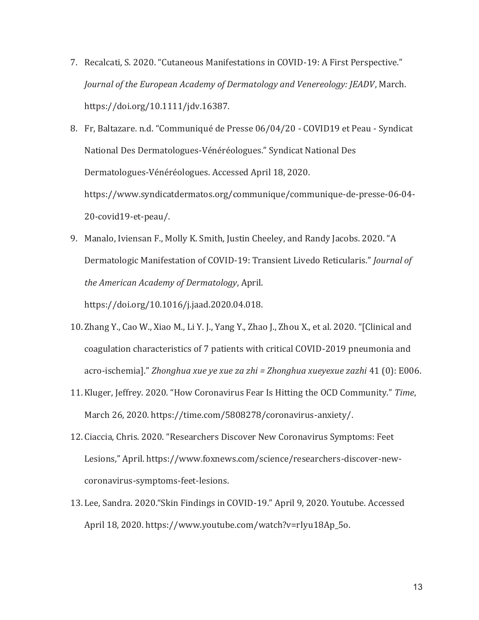- 7. Recalcati, S. 2020. "Cutaneous Manifestations in COVID-19: A First Perspective." *Journal of the European Academy of Dermatology and Venereology: JEADV*, March. https://doi.org/10.1111/jdv.16387.
- 8. Fr, Baltazare. n.d. "Communiqué de Presse 06/04/20 COVID19 et Peau Syndicat National Des Dermatologues-Vénéréologues." Syndicat National Des Dermatologues-Vénéréologues. Accessed April 18, 2020. https://www.syndicatdermatos.org/communique/communique-de-presse-06-04- 20-covid19-et-peau/.
- 9. Manalo, Iviensan F., Molly K. Smith, Justin Cheeley, and Randy Jacobs. 2020. "A Dermatologic Manifestation of COVID-19: Transient Livedo Reticularis." *Journal of the American Academy of Dermatology*, April.

https://doi.org/10.1016/j.jaad.2020.04.018.

- 10. Zhang Y., Cao W., Xiao M., Li Y. J., Yang Y., Zhao J., Zhou X., et al. 2020. "[Clinical and coagulation characteristics of 7 patients with critical COVID-2019 pneumonia and acro-ischemia]." *Zhonghua xue ye xue za zhi = Zhonghua xueyexue zazhi* 41 (0): E006.
- 11. Kluger, Jeffrey. 2020. "How Coronavirus Fear Is Hitting the OCD Community." *Time*, March 26, 2020. https://time.com/5808278/coronavirus-anxiety/.
- 12. Ciaccia, Chris. 2020. "Researchers Discover New Coronavirus Symptoms: Feet Lesions," April. https://www.foxnews.com/science/researchers-discover-newcoronavirus-symptoms-feet-lesions.
- 13. Lee, Sandra. 2020."Skin Findings in COVID-19." April 9, 2020. Youtube. Accessed April 18, 2020. https://www.youtube.com/watch?v=rIyu18Ap\_5o.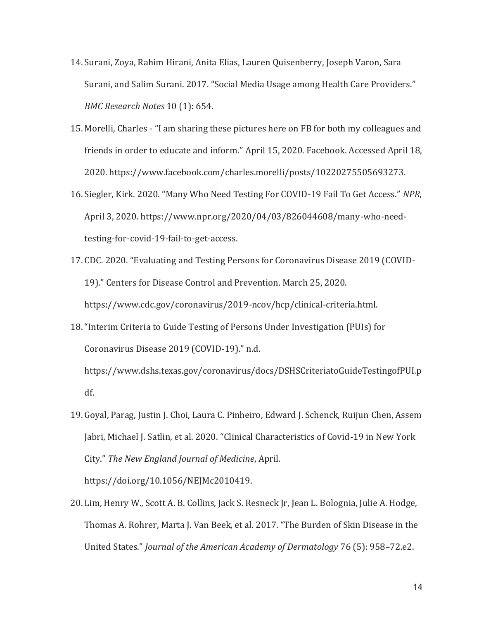- 14. Surani, Zoya, Rahim Hirani, Anita Elias, Lauren Quisenberry, Joseph Varon, Sara Surani, and Salim Surani. 2017. "Social Media Usage among Health Care Providers." *BMC Research Notes* 10 (1): 654.
- 15. Morelli, Charles "I am sharing these pictures here on FB for both my colleagues and friends in order to educate and inform." April 15, 2020. Facebook. Accessed April 18, 2020. https://www.facebook.com/charles.morelli/posts/10220275505693273.
- 16. Siegler, Kirk. 2020. "Many Who Need Testing For COVID-19 Fail To Get Access." *NPR*, April 3, 2020. https://www.npr.org/2020/04/03/826044608/many-who-needtesting-for-covid-19-fail-to-get-access.
- 17. CDC. 2020. "Evaluating and Testing Persons for Coronavirus Disease 2019 (COVID-19)." Centers for Disease Control and Prevention. March 25, 2020. https://www.cdc.gov/coronavirus/2019-ncov/hcp/clinical-criteria.html.
- 18."Interim Criteria to Guide Testing of Persons Under Investigation (PUIs) for Coronavirus Disease 2019 (COVID-19)." n.d. https://www.dshs.texas.gov/coronavirus/docs/DSHSCriteriatoGuideTestingofPUI.p

df.

19. Goyal, Parag, Justin J. Choi, Laura C. Pinheiro, Edward J. Schenck, Ruijun Chen, Assem Jabri, Michael J. Satlin, et al. 2020. "Clinical Characteristics of Covid-19 in New York City." *The New England Journal of Medicine*, April.

https://doi.org/10.1056/NEJMc2010419.

20. Lim, Henry W., Scott A. B. Collins, Jack S. Resneck Jr, Jean L. Bolognia, Julie A. Hodge, Thomas A. Rohrer, Marta J. Van Beek, et al. 2017. "The Burden of Skin Disease in the United States." *Journal of the American Academy of Dermatology* 76 (5): 958–72.e2.